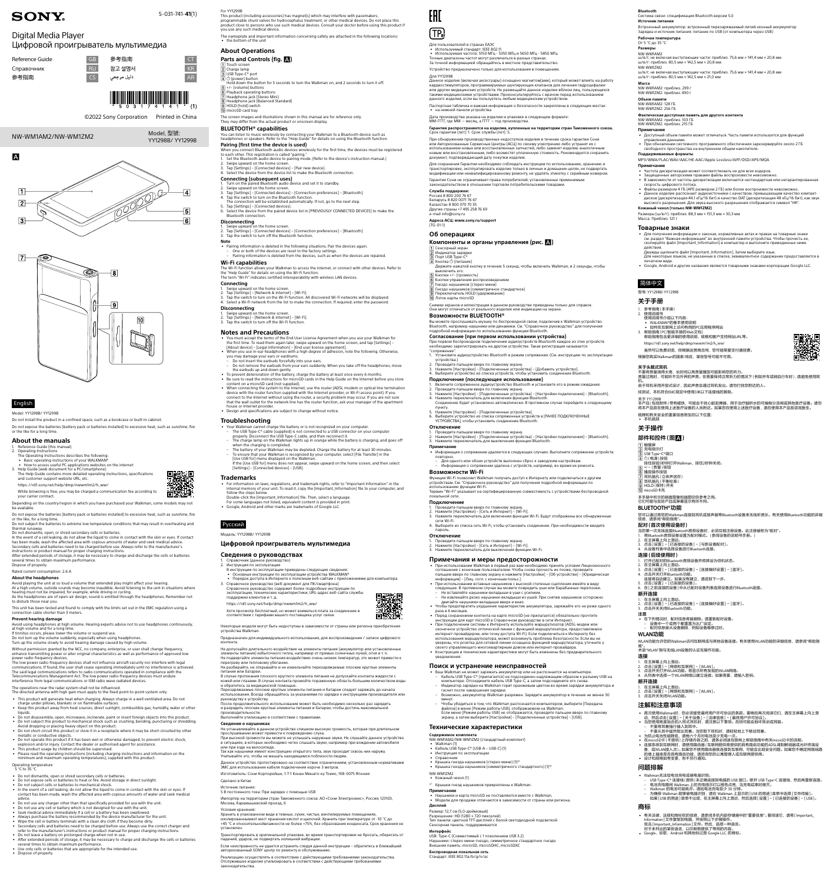

GB 参考指南 CT RU 참고 설명서 KR

# NW-WM1AM2/NW-WM1ZM2





# English

Model: YY1298B/ YY1299B

Do not install the product in a confined space, such as a bookcase or built-in cabinet. Do not expose the batteries (battery pack or batteries installed) to excessive heat, such as sunshine, fire or the like for a long time.

- 
- 
- 
- 1. Reference Guide (this manual)<br>
2. Operating Instructions<br>
The Operating Instructions describes the following:<br>
 Basic operating instructions of your WALKMAN®<br>
 How to access useful PC applications websites on the inte
- 
- The Help Guide contains more detailed operating instructions, specifications

# **About the manuals**

Depending on the country/region in which you have purchased your Walkman, some models may not be available.

and customer support website URL, etc. [https://rd1.sony.net/help/dmp/nwwm1m2/h\\_ww/](https://rd1.sony.net/help/dmp/nwwm1m2/h_ww/)

While browsing is free, you may be charged a communication fee according to your carrier contract.

Do not expose the batteries (battery pack or batteries installed) to excessive heat, such as sunshine, fire or the like, for a long time.

- 
- Avoid playing the unit at so loud a volume that extended play might affect your hearing.<br>At a high volume, outside sounds may become inaudible. Avoid listening to the unit in situations where<br>hearing must not be impaired, to disturb those near you.

**Prevent hearing damage** Avoid using headphones at high volume. Hearing experts advise not to use headphones continuously, at high volume and for a long

Do not subject the batteries to extreme low temperature conditions that may result in overheating and thermal runaway.

Do not dismantle, open, or shred secondary cells or batteries.

In the event of a cell leaking, do not allow the liquid to come in contact with the skin or eyes. If contact<br>has been made, wash the affected area with copious amounts of water and seek medical advice.<br>Secondary cells and

instructions or product manual for proper charging instructions.<br>After extended periods of storage, it may be necessary to charge and discharge the cells or batteries<br>several times to obtain maximum performance.

The low power radio-frequency devices shall not influence aircraft security nor interfere with legal communications; If found, the user shall cease operating immediately until no interference is achieved.<br>The said legal communications refers to radio communications operated in compliance with the<br>Telecommunications Manage

Dispose of properly. Rated current consumption: 2.6 A

**About the headphones**

- 
- This product will generate heat when charging. Always charge in a well ventilated area. Do not<br>- Keape under pillows, blankets or on flammable surfaces.<br>- Keep this product away from heat sources, direct sunlight, combus
- Do not disassemble, open, microwave, incinerate, paint or insert foreign objects into this product.
- Do not subject this product to mechanical shock such as crushing, bending, puncturing or shredding.
- Avoid dropping or placing heavy object on this product.<br>• Do not short-circuit this product or store it in a receptacle where it may be short-circuited by other<br>metallic or conductive objects.<br>• Do not operate this product
- explosion and/or injury. Contact the dealer or authorised agent for assistance.
- 
- This product usage by children should be supervised. Please read the operating instructions (including charging instructions and information on the minimum and maximum operating temperatures), supplied with this product.

This unit has been tested and found to comply with the limits set out in the EMC regulation using a connection cable shorter than 3 meters.

If tinnitus occurs, please lower the volume or suspend use. Do not turn up the volume suddenly, especially when using headphones. Turn up the volume slowly to avoid hearing damage caused by high volume.

Without permission granted by the NCC, no company, enterprise, or user shall change frequency, enhance transmitting power or alter original characteristics as well as performance of approved low power radio-frequency devices.

- 
- 
- 
- Always purchase the battery recommended by the device manufacturer for the unit.<br>• Wipe the cell or battery terminals with a clean dry cloth if they become dirty.<br>• Secondary cells and batteries need to be charged before refer to the manufacturer's instructions or product manual for proper charging instructions.
- 
- Do not leave a battery on prolonged charge when not in use. After extended periods of storage, it may be necessary to charge and discharge the cells or batteries several times to obtain maximum performance. • Use only cells or batteries that are appropriate for the intended use.
- Dispose of properly.

vстройства Walkmaı

**Parts and Controls (fig. )** 1 Touch screen<br>2 Charge lamp

USB Type-C® port (power) button Hold down the button for 5 seconds to turn the Walkman on, and 2 seconds to turn it off. |<u>5</u>| +/– (volume) buttons<br>|6| Playback operating buttons<br>|7| Headphone jack (Stereo Mini) Headphone jack (Balanced Standard) HOLD (hold) switch microSD card tray

The operations near the radar system shall not be influenced. The directed antenna with high gain must apply to the fixed point-to-point system only. **Pairing (first time the device is used)** while the device to docup.<br>Ect Bluetooth audio devices wirelessly for the first time, the devices must be registered

- 
- to each other. This registration is called "pairing."<br>1. Set the Bluetooth audio device to päring mode. (Refer to the device's instruction manual.)<br>2. Swipe upward on the home screen.<br>3. Tap [Settings] [Connected d

# Operating temperature 5 °C to 35 °C

- Do not dismantle, open or shred secondary cells or batteries.
- Do not expose cells or batteries to heat or fire. Avoid storage in direct sunlight. Do not subject cells or batteries to mechanical shock.
- In the event of a cell leaking, do not allow the liquid to come in contact with the skin or eyes. If contact has been made, wash the affected area with copious amounts of water and seek medical advice.
- Do not use any charger other than that specifically provided for use with the unit.

• Do not use any cell or battery which is not designed for use with the unit. • Seek medical advice immediately if a cell or a battery has been swallowed.

- You must accept the terms of the End User License Agreement when you use your Walkman for<br>the first time. To read them again later, swipe upward on the home screen, and tap [Settings] –<br>[About device] [Legal informatio
- When you use in-ear headphones with a high degree of adhesion, note the following. Otherwise,<br>you may damage your ears or eardrums.<br>Do not insert the earbuds forcefully into your ears.<br>- Do not remove the earbuds from yo
- 
- 
- Be sure to read the instructions for microSD cards in the Help Guide on the Internet before you store content on a microSD card (not supplied).
- When connecting the system to the Internet, use the router (ADSL modem or optical line termination<br>device with the router function supplied with the Internet provider, or Wi-Fi access point). If you<br>connect to the Intern house or Internet provider. • Design and specifications are subject to change without notice.

• For information on laws, regulations, and trademark rights, refer to "Important Information" in the internal memory of your unit. To read it, copy the [Important\_Information] file to your computer, and follow the steps below.

- 1. Справочник (данное руководство) 2. Инструкция по эксплуатации В инструкции по эксплуатации приведены следующие сведения:
- Основные инструкции по эксплуатации устройства WALKMAN®
- Порядок доступа в Интернете к полезным веб-сайтам с приложениями для компьютера
- 3. Справочное руководство (веб-документ для ПК/смартфона) Справочное руководство содержит более подробные инструкции по эксплуатации, технические характеристики, URL-адрес веб-сайта службы поддержки клиентов и т. д.
- [https://rd1.sony.net/help/dmp/nwwm1m2/h\\_ww/](https://rd1.sony.net/help/dmp/nwwm1m2/h_ww/) Хотя просмотр бесплатный, но может взиматься плата за соединение в
- сооружение с тарифами вашего поставщика услуг связи.<br>Тветствии с тарифами вашего поставщика услуг связи Некоторые молели могут быть нелоступны в зависимости от страны или региона приобрет
- 



# Для пользователей в странах ЕАЭС<br>• Используемый стандарт: IEEE 802.11

For YY1299B This product (including accessories) has magnet(s) which may interfere with pacemakers, programmable shunt valves for hydrocephalus treatment, or other medical devices. Do not place this product close to persons who use such medical devices. Consult your doctor before using this product if you use any such medical device.

The nameplate and important information concerning safety are attached in the following locations: • the bottom of the unit

# **About Operations**

Не допускайте длительного воздействия на элементы питания (аккумулятор или установл элементы питания) избыточного тепла, например от прямых солнечных лучей, огня и т. п. Не подвергайте элементы питания воздействию очень низких температур, это может привести к перегреву или тепловому убеганию.

Не разбирайте, не открывайте и не измельчайте перезаряжаемые плоские круглые элементь<br>питания или батареи.

питания или батареи.<br>В случае протекания плоского круглого элемента питания не допускайте контакта жидкости с<br>кожей или глазами. В случае контакта промойте пораженную область большим количеством воды<br>и обратитесь за медиц

руководству к устройству.<br>После продолжительного использования может быть необходимо несколько раз зарядить<br>и разрядить плоские круглые элементы питания и батареи, чтобы достичь максимальной производительности.

The screen images and illustrations shown in this manual are for reference only. They may differ from the actual product or onscreen display. **BLUETOOTH® capabilities**

# You can listen to music wirelessly by connecting your Walkman to a Bluetooth device such as headphones or speakers. Refer to the "Help Guide" for details on using the Bluetooth function.

Хранить в упакованном виде в темных, сухих, чистых, вентилируемых помец изолированнымиот мест хранения кислот и щелочей. Хранить при температуре от -10 °C до +45 °C и относительнойвлажности не более <75%, без образования конденсата. Срок хранения не установлен.

Транспортировать в оригинальной упаковке, во время транспортировки не бросать, оберегать от падений, ударов, не подвергать излишней вибраци

• Используемая частота: 5150 МГц - 5350 МГц и 5650 МГц - 5850 МГц Точные диапазоны частот могут различаться в разных странах. За точной информацией обращайтесь в местное представительство. Устройство предназначено только для использования в пом

- **Connecting (subsequent uses)**
- 1. Turn on the paired Bluetooth audio device and set it to standby. 2. Swipe upward on the home screen.
- 3. Tap [Settings] [Connected devices] [Connection preferences] [Bluetooth]. 4. Tap the switch to turn on the Bluetooth function. The connection will be established automatically. If not, go to the next step.
- 5. Tap [Settings] [Connected devices].

Данное изделие (включая аксессуары) оснащено магнитом(ами), который может влиять на работу кардиостимуляторов, программируемых шунтирующих клапанов для лечения гидроцефалии<br>или других медицинских устройств. Не размещайте данное изделие вблизи лиц, пользующихся<br>такими медицинскими устройствами. Проконсультируйте

6. Select the device from the paired device list in [PREVIOUSLY CONNECTED DEVICES] to make the Bluetooth connection.

#### **Disconnecting**

1. Swipe upward on the home screen.<br>2. Tap [Settings] – [Connected devices] – [Connection preferences] – [Bluetooth].<br>3. Tap the switch to turn off the Bluetooth function.

**Гарантия распространяется на изделия, купленные на территории стран Таможенного союза.** Срок гарантии (лет): 1. Срок службы (лет): 5. При обнаружении производственных недостатков изделия в течение срока гарантии Сони или Авторизованные Сервисные Центры (АСЦ) по своему усмотрению либо устранят их с<br>использованием новых или восстановленных запчастей, либо заменят изделие аналогичным<br>новым или восстановленным, либо возместят уплаченную с Для сохранения Гарантии необходимо соблюдать инструкции по использованию, хранению и транспортировке, эксплуатировать изделие только в личных и домашних целях, не подвергать модификации или неквалифицированному ремонту, не удалять этикетку с серийным номером. Гарантия Сони не ограничивает права потребителей, установленные применимым законо в отношении торговли потребительскими товарам

#### **Note**

• Pairing information is deleted in the following situations. Pair the devices again. – One or both of the devices are reset to the factory settings.

– Pairing information is deleted from the devices, such as when the devices are repaired.

**Wi-Fi capabilities**

The Wi-Fi function allows your Walkman to access the internet, or connect with other devices. Refer to<br>the "Help Guide" for details on using the Wi-Fi function.<br>The term "Wi-Fi" indicates certified interoperability with wi

**Служба поддержки:**<br>Россия 8 800 200 76 67 Беларусь 8 820 0071 76 67 Казахстан 8 800 070 70 35 Другие страны +7 495 258 76 69 e-mail info@sony.ru

 Сенсорный экран |<u>2</u>| Индикатор зарядки<br>|3| Порт USB Type-C®  $\overline{4}$  Кнопка  $\overline{1}$  (питание)

### **Connecting**

Swipe upward on the home screen.

 Кнопки управления воспроизведением  $\overline{[7]}$  Гнездо наушников (стерео мини)<br> $\overline{[8]}$  Гнездо наушников (симметричное стандартное) [**9**] Переключатель HOLD (удерживание)<br>[10] Лоток карты microSD

- 2. Tap [Settings] [Network & internet] [Wi-Fi]. 3. Tap the switch to turn on the Wi-Fi function. All discovered Wi-Fi networks will be displayed. 4. Select a Wi-Fi network from the list to make the connection. If required, enter the password.
- **Disconnecting**

1. Swipe upward on the home screen. 2. Tap [Settings] – [Network & internet] – [Wi-Fi]. 3. Tap the switch to turn off the Wi-Fi function.

### **Notes and Precautions**

1. Проведите пальцем вверх по главному экрану.<br>2. Нажмите [Настройки] – [Подключенные устройства] – [Настройки подключения] – [Bluetooth].<br>3. Нажмите переключатель для выключения функции Bluetooth. **Примечание** • Информация о сопряжении удаляется в следующих случаях. Выполните сопряжение устройств повторно. – Для одного или обоих устройств выполнен сброс к заводским настройкам. – Информация о сопряжении удалена с устройств, например, во время их ремонта.

## **Troubleshooting**

- Your Walkman cannot charge the battery or is not recognized on your computer. The USB Type-C® cable (supplied) is not connected to a USB connector on your computer
- properly. Disconnect the USB Type-C cable, and then reconnect it. – The charge lamp on the Walkman lights up in orange while the battery is charging, and goes off when the charging is completed. – The battery of your Walkman may be depleted. Charge the battery for at least 30 minutes.
- 
- To ensure that your Walkman is recognized by your computer, select [File Transfer] in the [Use USB for] menu displayed on the Walkman.
- If the [Use USB for] menu does not appear, swipe upward on the home screen, and then select [Settings] [Connected devices] [USB].

#### **Trademarks**

骤激

- Ваш Walkman не может заряжать аккумулятор или не распознается на компьютере.<br>Рабель USB Туре-С® (прилагается) не подсоединен надлежащим образом к разъему USB на с ноше крать комере.<br>Компьютере. Отсоедините кабель USB Т
- Индикатор зарядки на Walkman горит оранжевым цветом во время зарядки аккумулятора и гаснет после завершения зарядки. – Возможно, аккумулятор Walkman разряжен. Зарядите аккумулятор в течение не менее 30
- 
- минут.<br>– Чтобы убедиться в том, что Walkman распознается компьютером, выберите [Передача<br>файлов] в меню [Режим работы USB], отображаемом на Walkman.<br>Если меню [Режим работы USB] не отображается, проведите пальцем вверх по экрану, а затем выберите [Настройки] – [Подключенные устройства] – [USB].
- Double-click the [Important\_Information] file. Then, select a language. For some languages not listed, equivalent content is provided in print. Google, Android and other marks are trademarks of Google LLC.
- 

# Русский

Модель: YY1298B/ YY1299B

## **Цифровой проигрыватель мультимедиа**

**Сведения о руководствах**

**Рабочая температура** От 5 °C до 35 °C **Размеры** NW-WM1AM2<br>ш/в/г, не вкли

Предназначен для индивидуального использования, для воспроизведения / записи цифрового контента.

• Для получения информации о законах, нормативных актах и правах на товарные знаки см. раздел "Важная информация" во внутренней памяти устройства. Чтобы прочесть ее, скопируйте файл [Important\_Information] в компьютер и выполните приведенные ниже действия.<br>Дважды щелкните файл [Important\_Information]. Затем выберите язык.<br>Для некоторых языков, не указанных в списке, эквивалентное содержание предоставляется в

Перезаряжаемые плоские круглые элементы питания и батареи следует заряжать до начала использования. Всегда обращайтесь за указаниями по зарядке к инструкциям производителя или [<mark>6</mark>] 播放操作按钮<br>[7] 耳机插孔(立体声迷你)<br>[8] 耳机插孔(平衡标准) HOLD(保持)开关 microSD卡托

Выполняйте утилизацию в соответствии с правилами.

#### **Сведения о наушниках**

Не устанавливайте в данном устройстве слишком высокую громкость, которая при длительном прослушивании может привести к повреждению слуха.

При высокой громкости вы можете не услышать наружные звуки. Не слушайте данное устройство в ситуациях, в которых необходимо четко слышать звуки, например при вождении автомобиля или при езде на велосипеде.

Так как наушники имеют конструкцию открытого типа, звук проходит сквозь них наружу.<br>Учитывайте это, чтобы не мешать находящимся поблизости людям.

- 为防止电池性能降低,请每六个月对电池至少充电一次。<br>• 在microSD卡(不提供)上存储内容之前,请务必阅读互联网上帮助指南中有关microSD卡的说明。
- 连接系统到互联网时,请使用路由器(互联网提供商提供的具有路由功能的ADSL调制解调器或光纤终端设 备,或WLAN接入点)。如果您不使用路由器就连接到互联网,可能会出现安全问题。如果您不确定网络线路<br>的墙上插座是否具有路由功能,请咨询您的公寓管理人或互联网提供商。
- 设计和规格如有变更,恕不另行通知。

- 
- Walkman无法给电池充电或被电脑识别。 USB Type-C® 连接线(提供)未正确连接到电脑的 USB 接口。断开 USB Type-C 连接线,然后再重新连接。 - 电池充电期间 Walkman 上的充电指示灯以橙色点亮,当充电结束时熄灭。<br>- Walkman 的电池可能耗尽。请给电池充电至少 30 分钟。<br>- 为确保 Walkman 能够被电脑识别,请在 Walkman 上显示的[USB 的用途]菜单中选择 [文件传输]。<br>- 如果[USB 的用途]菜单不出现,在主屏幕上向上滑动,然后选择 [设置] – [已连接的设备] – [USB]。

• 有关法律、法规和商标权的信息,请参阅本机内部存储器中的"重要信息"。要阅读它,请将 [ Important\_<br>| hformation] 文件复制到电脑,并按照以下步骤操作。<br>| 双击 [ Important\_Information ]文件。然后,选择一种语言。

Данное устройство протестировано на соответствие ограничениям, установленным нормативами ЭМС для использования кабеля подключения короче 3 метров.

Изготовитель: Сони Корпорейшн, 1-7-1 Конан Минато-ку Токио, 108-0075 Япония

Сделано в Китае

Источник питания: 5 В постоянного тока: При зарядке с помощью USB

Импортер на территории стран Таможенного союза: АО «Сони Электроникс», Россия, 123103, Москва, Карамышевский проезд, 6

#### Условия хранения:

Если неисправность не удается устранить следуя данной инструкции – обратитесь в ближайший авторизованный SONY центр по ремонту и обслуживанию.

Реализацию осуществлять в соответствии с действующими требованиями законодательства. Отслужившее изделие утилизировать в соответствии с действующими требованиями законодательства.

окончиство оптической линии с функцией мартизатора, предоставляемоставляемоставляемоставляемоставля интернет-провайдером, или точку доступа Wi-Fi). Если подключиться к Интернету без использования маршрутизатора, может возникнуть проблема безопасности. Если вы не<br>уверены, что розетка для сетевой линии оснащена функцией маршрутизатора, уточните у<br>своего управляющего многоквартирным домом или интернет-п

5-031-741-**41**(1)

©2022 Sony Corporation Printed in China

# **SONY**

# Digital Media Player

# Цифровой проигрыватель мультимедиа

| Reference Guide |  |
|-----------------|--|
| Справочник      |  |
| 参考指南            |  |

## Для YY1299B

Паспортная табличка и важная информация о безопасности закреплены в следующих местах: • на нижней панели устройства

# Дата производства указана на изделии и упаковке в следующем формате: ММ-ГГГГ, где ММ — месяц, а ГГГГ — год производства.

**Адреса АСЦ:<www.sony.ru/support>** (TG-01-1)

**Об операциях**

**Компоненты и органы управления (рис. )**

Держите нажатой кнопку в течение 5 секунд, чтобы включить Walkman, и 2 секунды, чтобы выключить его. Кнопки +/– (громкость)

Снимки экранов и иллюстрации в данном руководстве приведены только для справок. Они могут отличаться от реального изделия или индикации на экране.

2. Проведите пальцем вверх по главному экрану.<br>3. Нажмите [Настройки] – [Подключенные устройства] – [Добавить устройство].<br>4. Выберите устройство из списка устройств, чтобы установить соединение Bluetooth.

**Возможности BLUETOOTH®**

Вы можете прослушивать музыку по беспроводной связи, подключив к Walkman устройство Bluetooth, например наушники или динамики. См. "Справочное руководство" для получения подробной информации по использованию функции Bluetooth. **Согласование (при первом использовании устройства)**<br>При первом беспроводном подключении аудиоустройств Bluetooth каждое из этих устройств<br>необходимо зарегистрировать на другом устройстве. Такая регистрация называется "сопряжение". 1. Установите аудиоустройство Bluetooth в режим сопряжения. (См. инструкцию по эксплуатации

устройства.)

4. Нажмите переключатель для включения функции Bluetooth. Соединение будет установлено автоматически. В противном случае перейдите к следующему

пункту. 5. Нажмите [Настройки] – [Подключенные устройства].

6. Выберите устройство из списка сопряженных устройств в [РАНЕЕ ПОДКЛЮЧЕННЫЕ УСТРОЙСТВА], чтобы установить соединение Bluetooth.

**Подключение (последующее использование)**<br>1. Включите сопряженное аудиоустройство Bluetooth и установите его в режим ожидания.<br>2. Проведите пальцем вверх по главному экрану.<br>3. Нажмите [Настройки] – [Подключенные ус

**Отключение**

**Возможности Wi-Fi**

Функция Wi-Fi позволяет Walkman получать доступ к Интернету или подключаться к другим устройствам. См. "Справочное руководство" для получения подробной информации по использованию функции Wi-Fi. Термин "Wi-Fi" указывает на сертифицированную совместимость с устройствами беспроводной

локальной сети. **Подключение** 

1. Проведите пальцем вверх по главному экрану.

2. Нажмите [Настройки] – [Сеть и Интернет] – [Wi-Fi]. 3. Нажмите переключатель для включения функции Wi-Fi. Будут отображены все обнаруженные сети Wi-Fi. 4. Выберите из списка сеть Wi-Fi, чтобы установить соединение. При необходимости введите

пароль. **Отключение**

1. Проведите пальцем вверх по главному экрану. 2. Нажмите [Настройки] – [Сеть и Интернет] – [Wi-Fi]. 3. Нажмите переключатель для выключения функции Wi-Fi.

**Примечания и меры предосторожности**

• При использовании Walkman в первый раз вам необходимо принять условия Лицензионного соглашения с конечным пользователем. Чтобы снова прочесть их позже, проведите

пальцем вверх по главному экрану и нажмите [Настройки] – [Об устройстве] – [Юридическая<br>информация] – [Лиц. согл. с конечным польз.].<br>• При использовании вставных наушников с высокой степенью сцепления имейте в виду<br>следу

– Не извлекайте резко наушники-вкладыши из ушей. При снятии наушников осторожно двигайте наушники-вкладыши вверх и вниз. • Чтобы предотвратить ухудшение характеристик аккумулятора, заряжайте его не реже одного

раза в 6 месяцев.

• Перед сохранением контента на карте microSD (не прилагается) обязательно прочтите инструкции для карт microSD в Справочном руководстве в сети Интернет. • При подключении системы к Интернету используйте маршрутизатор (ADSL-модем или

• Конструкция и технические характеристики могут быть изменены без предварительного уведомления.

## **Поиск и устранение неисправностей**

#### **Технические характеристики**

- **Содержимое комплекта** NW-WM1AM2/NW-WM1ZM2 (стандартный комплект)
- Walkman (1) • Кабель USB Type-C® (USB-A – USB-C) (1)
- Инструкция по эксплуатации Справочник
- 
- Крышка гнезда наушников (стерео мини) (1)\*1
- Крышка гнезда наушников (симметричного стандартного) (1)\*1

#### NW-WM1ZM2

- Кожаный чехол (1)
- \*1 Крышки гнезд наушников прикреплены к Walkman.

#### **Примечание**

- Наушники и карта microSD не поставляются вместе с Walkman.
- Модели для продажи отличаются в зависимости от страны или региона.

#### **Дисплей**

Размер: 12,7 см (5,0-дюймовый) Разрешение: HD (1280 × 720 пикселей) Тип панели: цветной TFT-дисплей с белой светодиодной подсветкой Сенсорная панель: поддерживается

**Интерфейс**<br>USB: Туре-C (Совместимый с 1 поколением USB 3.2)<br>Наушники: стерео мини-гнездо, симметричное стандартное гнездо<br>Внешняя память: microSD, microSDHC, microSDXC

# **Беспроводная локальная сеть** Стандарт: IEEE 802.11a/b/g/n/ac

**Bluetooth**

Система связи: спецификация Bluetooth версии 5.0

**Источник питания**

Встроенный аккумулятор: встроенный перезаряжаемый литий-ионный аккумулятор Зарядка и источник питания: питание по USB (от компьютера через USB)

ш/в/г: приблиз. 80,5 мм × 142,5 мм × 20,8 мм

**Фактическая доступная память для другого контента**<br>NW-WM1AM2: приблиз. 103 ГБ<br>NW-WM1ZM2: приблиз. 215 ГБ

свободного пространства на внутреннем общем накопителе.

NW-WM1ZM2

ш/в/г, не включая выступающие части: приблиз. 75,6 мм × 141,4 мм × 20,8 мм ш/в/г: приблиз. 80,5 мм × 142,5 мм × 21,0 мм

очая выступающие части: приблиз. 75,6 мм × 141,4 мм × 20,8 мм

.<br>• Доступный объем памяти может отличаться. Часть памяти используется для функций

**Масса** NW-WM1AM2: приблиз. 299 г NW-WM1ZM2: приблиз. 490 г

**Объем памяти** NW-WM1AM2: 128 ГЕ NW-WM1ZM2: 256 ГБ

**Примечание**

управления данными.

• При обновлении системного программного обеспечения зарезервируйте около 2 ГБ

**Поддерживаемые форматы**

MP3/WMA/FLAC/WAV/AAC/HE-AAC/Apple Lossless/AIFF/DSD/APE/MQA

**Примечание**

• Частота дискретизации может соответствовать не для всех кодеров.

• Защищенные авторскими правами файлы воспроизвести невозможно. • В зависимости от частоты дискретизации включается нестандартная или негарантированная скорость цифрового потока.<br>• Файлы размером 4 ГБ (АРЕ размером 2 ГБ) или более воспроизвести невозможно.<br>• Данное изделие распознает аудиоисточники с качеством, превышающим качество компакт-<br>• дисков (дискретизац высокого разрешения. Для звука высокого разрешения отображается символ "HR".

**Кожаный чехол (только NW-WM1ZM2)**

Размеры (ш/в/г): приблиз. 88,3 мм × 151,3 мм × 30,3 мм Масса: Приблиз. 121 г

**Товарные знаки**

печатном виде.

• Google, Android и другие названия являются товарными знаками корпорации Google LLC.

**关于头戴式耳机**<br>不要将音量调得太高,长时间以高音量播放可能影响您的听力。<br>音量过高时,可能听不见外界的声音。在需要保持正常听力的情况下(例如开车或骑自行车时), 请避免使用耳

关于 YY1299B<br>本产品 (包括附件 ) 带有磁铁,可能会干扰心脏起搏器、用于治疗脑积水的可编程分流阀或其他医疗设备。请勿<br>将本产品放在使用上述医疗设备的人员附近。如果您在使用上述医疗设备,请在使用本产品前咨询医生。

简体中文 型号: YY1298B/ YY1299B **关于手册** 1. 参考指南(本手册) 2. 使用说明书 使用说明书介绍以下内容:

• WALKMAN®的基本使用说明 • 如何在互联网上访问有用的PC应用程序网站 3. 帮助指南(PC/智能手册的Web文档) 帮助指南包含更详细的使用说明、规格和客户支持网站URL等。

[https://rd1.sony.net/help/dmp/nwwm1m2/h\\_ww/](https://rd1.sony.net/help/dmp/nwwm1m2/h_ww/)

虽然可以免费浏览,但根据运营商合同,您可能需要支付通信费。 根据您购买Walkman的国家/地区,某些型号可能不可用。

机。<br>由于耳机采用开放式设计,因此声音会通过耳机发出。请勿打扰您附近的人。

经测试,本机符合EMC规定中使用3米以下连接线的限制。

铭牌和有关安全的重要信息附加在以下位置:

• 本机底部 **关于操作 部件和控件(图)** 触摸屏 充电指示灯 USB Type-C®端口 (电源)按钮

按住按钮5秒钟打开Walkman,按住2秒钟关闭。 +/–(音量)按钮

本手册中所示的画面图像和插图仅供参考之用。 它们可能与实际产品或屏幕显示有所不同。

**BLUETOOTH**®**功能**

您可以通过将您的Walkman连接到耳机或扬声器等Bluetooth设备来无线听音乐。有关使用Bluetooth功能的详细

信息,请参阅"帮助指南"。 **配对(首次使用设备时)**

当您第一次无线连接Bluetooth音频设备时,必须互相注册设备。此注册被称为"配对"。 1. 将Bluetooth音频设备设置为配对模式。(参阅设备的说明书手册。) 2. 在主屏幕上向上滑动。 3. 点击[设置]–[已连接的设备]–[与新设备配对]。 4. 从设备列表中选择设备进行Bluetooth连接。

th音频设备并将其设为待机状态。

**连接(后续使用时)**

**断开连接**<br>1. 在主屏幕上向上滑动。

2. 在主屏幕上向上滑动。 3. 点击[设置]–[已连接的设备]–[连接偏好设置]–[蓝牙]。

4. 点击开关打开Bluetooth功能。

连接将自动建立。如果没有建立,请进到下一步。

5. 点击[设置]–[已连接的设备]。 6. 在[之前连接的设备]中从已配对设备列表选择设备进行Bluetooth连接。

1. 在主屏幕上向上滑动。 2. 点击[设置]–[已连接的设备]–[连接偏好设置]–[蓝牙]。 3. 点击开关关闭Bluetooth功能。

**注意**

• 在下列情况时,配对信息将被删除。请重新配对设备。

# – 设备中一个或两个都重置为出厂设定。 – 配对信息被从设备删除,例如设备维修过时。 **WLAN功能**

WLAN功能允许您的Walkman访问互联网或与其他设备连接。有关使用WLAN功能的详细信息,请参阅"帮助指

# 南"。 术语"WLAN"指与无线LAN设备的认证互操作功能。

#### **连接**

- 1. 在主屏幕上向上滑动。
- 2. 点击[设置]–[网络和互联网]–[WLAN]。 3. 点击开关打开WLAN功能。将显示所有发现的WLAN网络。
- 
- 4. 从列表中选择一个WLAN网络以建立连接。如果需要,请输入密码。

### **断开连接**

- 1. 在主屏幕上向上滑动。 2. 点击[设置]–[网络和互联网]–[WLAN]。 3. 点击开关关闭WLAN功能。
- 
- 

# **注解和注意事项**

- 首次使用Walkman时, 您必须接受最终用户许可协议的条款。要稍后再次阅读它们, 请在主屏幕上向上滑<br>- 动, 然后点击[设置] [关于设备] [法律信息] [最终用户许可协议]。
- 当您使用高度贴合的入耳式耳机时, 请注意以下事项。否则可能会损坏耳朵或耳鼓。<br>——不要将耳塞强行插入到耳中。
- 
- <sub>个安将丹塞强门调入到兵士。<br>不要从耳中猛然取出耳塞。当您取下耳机时,请轻轻地上下移动耳塞。</sub>
- 

# **问题排解**

**商标**

对于未列出的某些语言,以印刷物提供了等同的内容。 • Google、谷歌、Android 和其他标记是 Google LLC. 的商标。

Model, 型號: YY1298B/ YY1299B